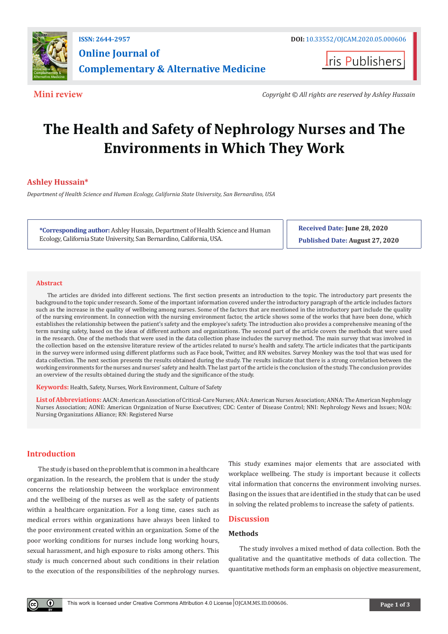

**Iris Publishers** 

**Mini review** *Copyright © All rights are reserved by Ashley Hussain*

# **The Health and Safety of Nephrology Nurses and The Environments in Which They Work**

## **Ashley Hussain\***

*Department of Health Science and Human Ecology, California State University, San Bernardino, USA*

**\*Corresponding author:** Ashley Hussain, Department of Health Science and Human Ecology, California State University, San Bernardino, California, USA.

**Received Date: June 28, 2020 Published Date: August 27, 2020**

#### **Abstract**

The articles are divided into different sections. The first section presents an introduction to the topic. The introductory part presents the background to the topic under research. Some of the important information covered under the introductory paragraph of the article includes factors such as the increase in the quality of wellbeing among nurses. Some of the factors that are mentioned in the introductory part include the quality of the nursing environment. In connection with the nursing environment factor, the article shows some of the works that have been done, which establishes the relationship between the patient's safety and the employee's safety. The introduction also provides a comprehensive meaning of the term nursing safety, based on the ideas of different authors and organizations. The second part of the article covers the methods that were used in the research. One of the methods that were used in the data collection phase includes the survey method. The main survey that was involved in the collection based on the extensive literature review of the articles related to nurse's health and safety. The article indicates that the participants in the survey were informed using different platforms such as Face book, Twitter, and RN websites. Survey Monkey was the tool that was used for data collection. The next section presents the results obtained during the study. The results indicate that there is a strong correlation between the working environments for the nurses and nurses' safety and health. The last part of the article is the conclusion of the study. The conclusion provides an overview of the results obtained during the study and the significance of the study.

**Keywords:** Health, Safety, Nurses, Work Environment, Culture of Safety

**List of Abbreviations:** AACN: American Association of Critical-Care Nurses; ANA: American Nurses Association; ANNA: The American Nephrology Nurses Association; AONE: American Organization of Nurse Executives; CDC: Center of Disease Control; NNI: Nephrology News and Issues; NOA: Nursing Organizations Alliance; RN: Registered Nurse

### **Introduction**

The study is based on the problem that is common in a healthcare organization. In the research, the problem that is under the study concerns the relationship between the workplace environment and the wellbeing of the nurses as well as the safety of patients within a healthcare organization. For a long time, cases such as medical errors within organizations have always been linked to the poor environment created within an organization. Some of the poor working conditions for nurses include long working hours, sexual harassment, and high exposure to risks among others. This study is much concerned about such conditions in their relation to the execution of the responsibilities of the nephrology nurses.

This study examines major elements that are associated with workplace wellbeing. The study is important because it collects vital information that concerns the environment involving nurses. Basing on the issues that are identified in the study that can be used in solving the related problems to increase the safety of patients.

### **Discussion**

#### **Methods**

The study involves a mixed method of data collection. Both the qualitative and the quantitative methods of data collection. The quantitative methods form an emphasis on objective measurement,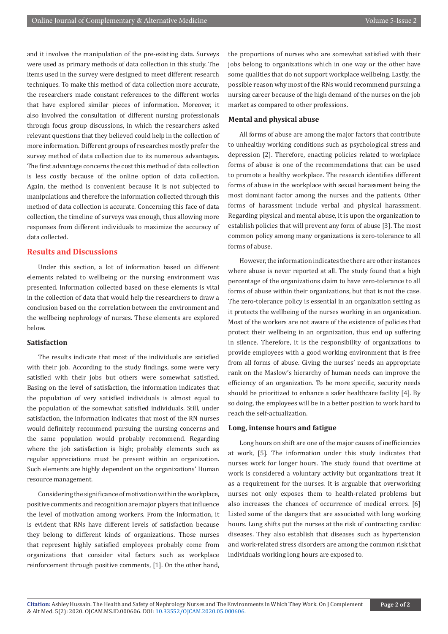and it involves the manipulation of the pre-existing data. Surveys were used as primary methods of data collection in this study. The items used in the survey were designed to meet different research techniques. To make this method of data collection more accurate, the researchers made constant references to the different works that have explored similar pieces of information. Moreover, it also involved the consultation of different nursing professionals through focus group discussions, in which the researchers asked relevant questions that they believed could help in the collection of more information. Different groups of researches mostly prefer the survey method of data collection due to its numerous advantages. The first advantage concerns the cost this method of data collection is less costly because of the online option of data collection. Again, the method is convenient because it is not subjected to manipulations and therefore the information collected through this method of data collection is accurate. Concerning this face of data collection, the timeline of surveys was enough, thus allowing more responses from different individuals to maximize the accuracy of data collected.

#### **Results and Discussions**

Under this section, a lot of information based on different elements related to wellbeing or the nursing environment was presented. Information collected based on these elements is vital in the collection of data that would help the researchers to draw a conclusion based on the correlation between the environment and the wellbeing nephrology of nurses. These elements are explored below.

#### **Satisfaction**

The results indicate that most of the individuals are satisfied with their job. According to the study findings, some were very satisfied with their jobs but others were somewhat satisfied. Basing on the level of satisfaction, the information indicates that the population of very satisfied individuals is almost equal to the population of the somewhat satisfied individuals. Still, under satisfaction, the information indicates that most of the RN nurses would definitely recommend pursuing the nursing concerns and the same population would probably recommend. Regarding where the job satisfaction is high; probably elements such as regular appreciations must be present within an organization. Such elements are highly dependent on the organizations' Human resource management.

Considering the significance of motivation within the workplace, positive comments and recognition are major players that influence the level of motivation among workers. From the information, it is evident that RNs have different levels of satisfaction because they belong to different kinds of organizations. Those nurses that represent highly satisfied employees probably come from organizations that consider vital factors such as workplace reinforcement through positive comments, [1]. On the other hand,

the proportions of nurses who are somewhat satisfied with their jobs belong to organizations which in one way or the other have some qualities that do not support workplace wellbeing. Lastly, the possible reason why most of the RNs would recommend pursuing a nursing career because of the high demand of the nurses on the job market as compared to other professions.

#### **Mental and physical abuse**

All forms of abuse are among the major factors that contribute to unhealthy working conditions such as psychological stress and depression [2]. Therefore, enacting policies related to workplace forms of abuse is one of the recommendations that can be used to promote a healthy workplace. The research identifies different forms of abuse in the workplace with sexual harassment being the most dominant factor among the nurses and the patients. Other forms of harassment include verbal and physical harassment. Regarding physical and mental abuse, it is upon the organization to establish policies that will prevent any form of abuse [3]. The most common policy among many organizations is zero-tolerance to all forms of abuse.

However, the information indicates the there are other instances where abuse is never reported at all. The study found that a high percentage of the organizations claim to have zero-tolerance to all forms of abuse within their organizations, but that is not the case. The zero-tolerance policy is essential in an organization setting as it protects the wellbeing of the nurses working in an organization. Most of the workers are not aware of the existence of policies that protect their wellbeing in an organization, thus end up suffering in silence. Therefore, it is the responsibility of organizations to provide employees with a good working environment that is free from all forms of abuse. Giving the nurses' needs an appropriate rank on the Maslow's hierarchy of human needs can improve the efficiency of an organization. To be more specific, security needs should be prioritized to enhance a safer healthcare facility [4]. By so doing, the employees will be in a better position to work hard to reach the self-actualization.

#### **Long, intense hours and fatigue**

Long hours on shift are one of the major causes of inefficiencies at work, [5]. The information under this study indicates that nurses work for longer hours. The study found that overtime at work is considered a voluntary activity but organizations treat it as a requirement for the nurses. It is arguable that overworking nurses not only exposes them to health-related problems but also increases the chances of occurrence of medical errors. [6] Listed some of the dangers that are associated with long working hours. Long shifts put the nurses at the risk of contracting cardiac diseases. They also establish that diseases such as hypertension and work-related stress disorders are among the common risk that individuals working long hours are exposed to.